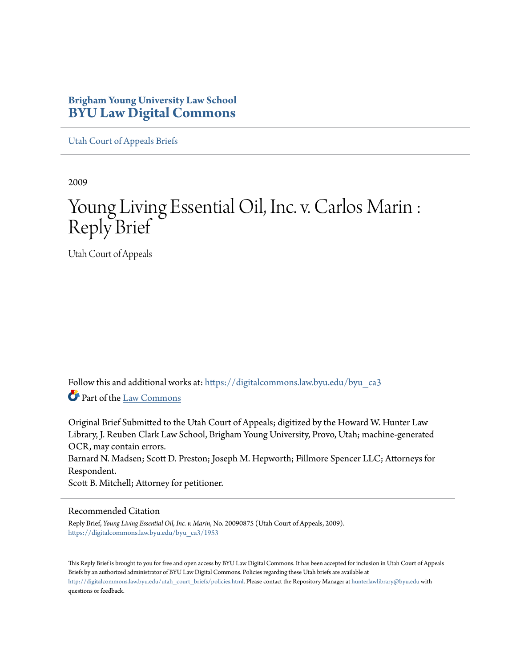# **Brigham Young University Law School [BYU Law Digital Commons](https://digitalcommons.law.byu.edu?utm_source=digitalcommons.law.byu.edu%2Fbyu_ca3%2F1953&utm_medium=PDF&utm_campaign=PDFCoverPages)**

[Utah Court of Appeals Briefs](https://digitalcommons.law.byu.edu/byu_ca3?utm_source=digitalcommons.law.byu.edu%2Fbyu_ca3%2F1953&utm_medium=PDF&utm_campaign=PDFCoverPages)

2009

# Young Living Essential Oil, Inc. v. Carlos Marin : Reply Brief

Utah Court of Appeals

Follow this and additional works at: [https://digitalcommons.law.byu.edu/byu\\_ca3](https://digitalcommons.law.byu.edu/byu_ca3?utm_source=digitalcommons.law.byu.edu%2Fbyu_ca3%2F1953&utm_medium=PDF&utm_campaign=PDFCoverPages) Part of the [Law Commons](http://network.bepress.com/hgg/discipline/578?utm_source=digitalcommons.law.byu.edu%2Fbyu_ca3%2F1953&utm_medium=PDF&utm_campaign=PDFCoverPages)

Original Brief Submitted to the Utah Court of Appeals; digitized by the Howard W. Hunter Law Library, J. Reuben Clark Law School, Brigham Young University, Provo, Utah; machine-generated OCR, may contain errors. Barnard N. Madsen; Scott D. Preston; Joseph M. Hepworth; Fillmore Spencer LLC; Attorneys for Respondent. Scott B. Mitchell; Attorney for petitioner.

#### Recommended Citation

Reply Brief, *Young Living Essential Oil, Inc. v. Marin*, No. 20090875 (Utah Court of Appeals, 2009). [https://digitalcommons.law.byu.edu/byu\\_ca3/1953](https://digitalcommons.law.byu.edu/byu_ca3/1953?utm_source=digitalcommons.law.byu.edu%2Fbyu_ca3%2F1953&utm_medium=PDF&utm_campaign=PDFCoverPages)

This Reply Brief is brought to you for free and open access by BYU Law Digital Commons. It has been accepted for inclusion in Utah Court of Appeals Briefs by an authorized administrator of BYU Law Digital Commons. Policies regarding these Utah briefs are available at [http://digitalcommons.law.byu.edu/utah\\_court\\_briefs/policies.html](http://digitalcommons.law.byu.edu/utah_court_briefs/policies.html). Please contact the Repository Manager at hunterlawlibrary@byu.edu with questions or feedback.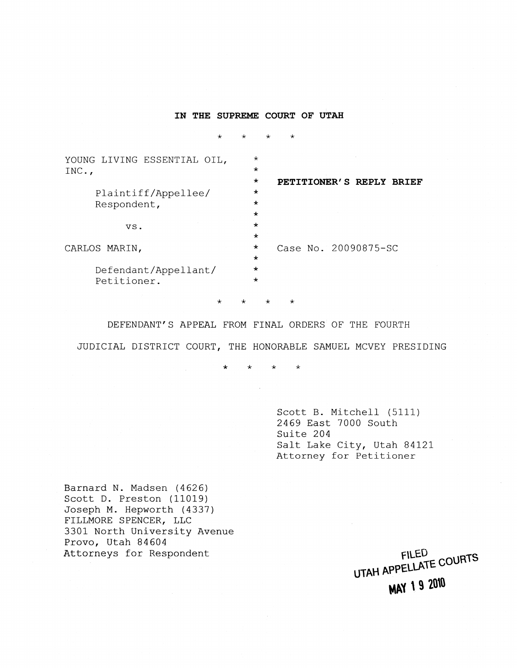### **IN THE SUPREME COURT OF UTAH**

 $\star$ 

 $\star$ 

 $\star$ 

| YOUNG LIVING ESSENTIAL OIL,<br>INC., | $^\star$<br>$\star$<br>$\star$<br>PETITIONER'S REPLY BRIEF |
|--------------------------------------|------------------------------------------------------------|
| Plaintiff/Appellee/<br>Respondent,   | $\star$<br>$\star$<br>$\star$                              |
| VS.                                  | $\star$<br>$\star$                                         |
| CARLOS MARIN,                        | $\star$<br>Case No. 20090875-SC<br>$\star$                 |
| Defendant/Appellant/<br>Petitioner.  | $\star$<br>$\star$                                         |

 $\star$  $\star$   $\star$   $\star$ 

DEFENDANT'S APPEAL FROM FINAL ORDERS OF THE FOURTH

JUDICIAL DISTRICT COURT, THE HONORABLE SAMUEL MCVEY PRESIDING

 $\star$  $\ddot{\phantom{0}}$  $\star$  $\star$ 

> Scott B. Mitchell (5111) 2469 East 7000 South Suite 204 Salt Lake City, Utah 84121 Attorney for Petitioner

Barnard N. Madsen (4626) Scott D. Preston (11019) Joseph M. Hepworth (4337) FILLMORE SPENCER, LLC 3301 North University Avenue Provo, Utah 84604 Attorneys for Respondent

**FILED** UTAH APPELLATE COURTS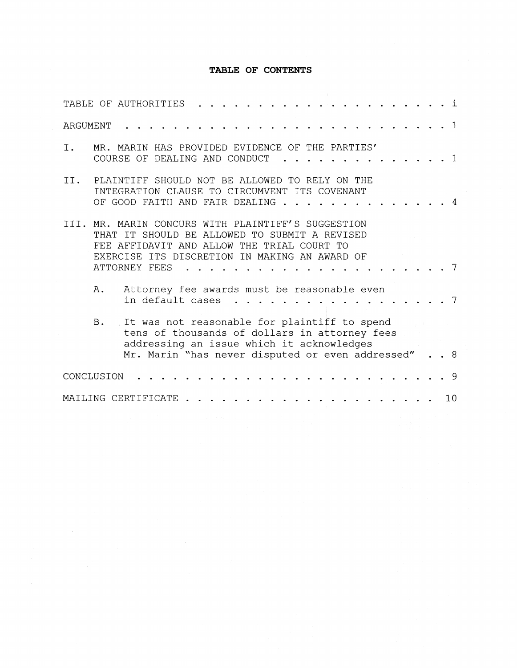## **TABLE OF CONTENTS**

| TABLE OF AUTHORITIES |            |                                                                                                                                                                                                                |  |  |  |  |  |  |  |  |    | i              |
|----------------------|------------|----------------------------------------------------------------------------------------------------------------------------------------------------------------------------------------------------------------|--|--|--|--|--|--|--|--|----|----------------|
| ARGUMENT             |            |                                                                                                                                                                                                                |  |  |  |  |  |  |  |  |    | $\overline{1}$ |
| Ι.                   |            | MR. MARIN HAS PROVIDED EVIDENCE OF THE PARTIES'<br>COURSE OF DEALING AND CONDUCT                                                                                                                               |  |  |  |  |  |  |  |  |    | 1              |
| II.                  |            | PLAINTIFF SHOULD NOT BE ALLOWED TO RELY ON THE<br>INTEGRATION CLAUSE TO CIRCUMVENT ITS COVENANT<br>OF GOOD FAITH AND FAIR DEALING                                                                              |  |  |  |  |  |  |  |  |    |                |
| TTT.                 |            | MR. MARIN CONCURS WITH PLAINTIFF'S SUGGESTION<br>THAT IT SHOULD BE ALLOWED TO SUBMIT A REVISED<br>FEE AFFIDAVIT AND ALLOW THE TRIAL COURT TO<br>EXERCISE ITS DISCRETION IN MAKING AN AWARD OF<br>ATTORNEY FEES |  |  |  |  |  |  |  |  |    |                |
|                      | Α.         | Attorney fee awards must be reasonable even<br>in default cases                                                                                                                                                |  |  |  |  |  |  |  |  |    |                |
|                      | <b>B</b> . | It was not reasonable for plaintiff to spend<br>tens of thousands of dollars in attorney fees<br>addressing an issue which it acknowledges<br>Mr. Marin "has never disputed or even addressed"                 |  |  |  |  |  |  |  |  |    | 8              |
| CONCLUSION           |            |                                                                                                                                                                                                                |  |  |  |  |  |  |  |  |    | - 9            |
| MAILING CERTIFICATE  |            |                                                                                                                                                                                                                |  |  |  |  |  |  |  |  | 10 |                |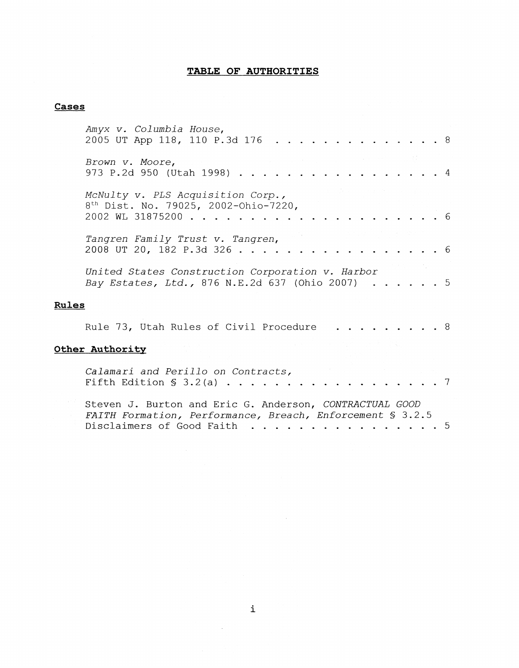# **TABLE OF AUTHORITIES**

# **Cases**

|              | Amyx v. Columbia House,<br>2005 UT App 118, 110 P.3d 176                                                                                          | -8 |
|--------------|---------------------------------------------------------------------------------------------------------------------------------------------------|----|
|              | Brown v. Moore,<br>973 P.2d 950 (Utah 1998).                                                                                                      | 4  |
|              | McNulty v. PLS Acquisition Corp.,<br>8 <sup>th</sup> Dist. No. 79025, 2002-Ohio-7220,<br>2002 WL 31875200                                         | 6  |
|              | Tangren Family Trust v. Tangren,<br>2008 UT 20, 182 P.3d 326.                                                                                     | 6  |
|              | United States Construction Corporation v. Harbor<br>Bay Estates, Ltd., 876 N.E.2d 637 (Ohio 2007)                                                 | -5 |
| <b>Rules</b> |                                                                                                                                                   |    |
|              | Rule 73, Utah Rules of Civil Procedure                                                                                                            | 8  |
|              | Other Authority                                                                                                                                   |    |
|              | Calamari and Perillo on Contracts,<br>Fifth Edition $\S$ 3.2(a)                                                                                   |    |
|              | Steven J. Burton and Eric G. Anderson, CONTRACTUAL GOOD<br>FAITH Formation, Performance, Breach, Enforcement § 3.2.5<br>Disclaimers of Good Faith | .5 |

 $\sim 10^6$ 

 $\sim$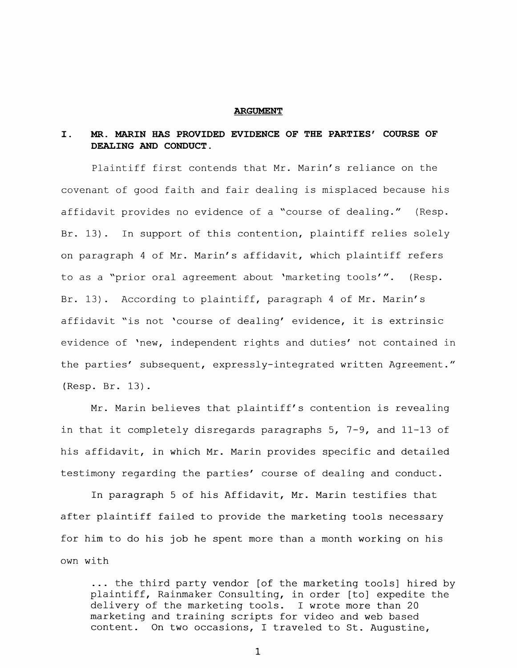#### **ARGUMENT**

## **I. MR. MARIN HAS PROVIDED EVIDENCE OF THE PARTIES' COURSE OF DEALING AND CONDUCT.**

Plaintiff first contends that Mr. Marin's reliance on the covenant of good faith and fair dealing is misplaced because his affidavit provides no evidence of a "course of dealing." (Resp. Br. 13). In support of this contention, plaintiff relies solely on paragraph 4 of Mr. Marin's affidavit, which plaintiff refers to as a "prior oral agreement about 'marketing tools'". (Resp. Br. 13). According to plaintiff, paragraph 4 of Mr. Marin's affidavit "is not 'course of dealing' evidehce, it is extrinsic evidence of 'new, independent rights and duties' not contained in the parties' subsequent, expressly-integrated written Agreement." (Resp. Br. 13).

Mr. Marin believes that plaintiff's contention is revealing in that it completely disregards paragraphs 5, 7-9, and 11-13 of his affidavit, in which Mr. Marin provides specific and detailed testimony regarding the parties' course of dealing and conduct.

In paragraph 5 of his Affidavit, Mr. Marin testifies that after plaintiff failed to provide the marketing tools necessary for him to do his job he spent more than a month working on his own with

... the third party vendor [of the marketing tools] hired by plaintiff, Rainmaker Consulting, in order [to] expedite the delivery of the marketing tools. I wrote more than 20 marketing and training scripts for video and web based content. On two occasions, I traveled to St. Augustine,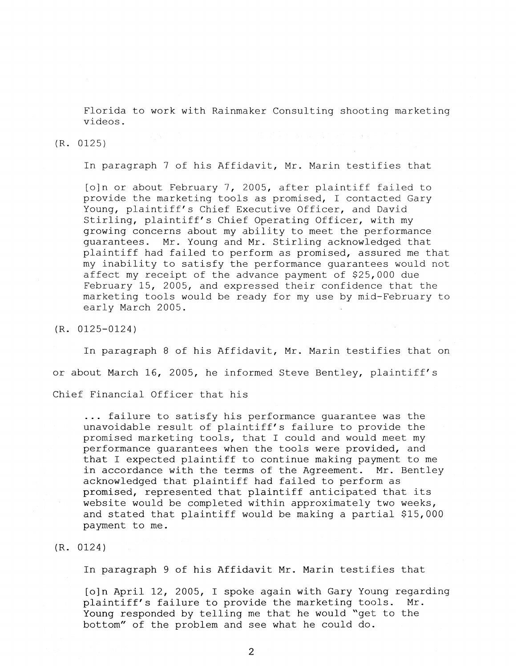Florida to work with Rainmaker Consulting shooting marketing videos.

#### (R. 0125)

In paragraph 7 of his Affidavit, Mr. Marin testifies that

[o]n or about February 7, 2005, after plaintiff failed to provide the marketing tools as promised, I contacted Gary Young, plaintiff's Chief Executive Officer, and David Stirling, plaintiff's Chief Operating Officer, with my growing concerns about my ability to meet the performance guarantees. Mr. Young and Mr. Stirling acknowledged that plaintiff had failed to perform as promised, assured me that my inability to satisfy the performance quarantees would not affect my receipt of the advance payment of \$25,000 due February 15, 2005, and expressed their confidence that the marketing tools would be ready for my use by mid-February to early March 2005.

(R. 0125-0124)

In paragraph 8 of his Affidavit, Mr. Marin testifies that on or about March 16, 2005, he informed Steve Bentley, plaintiff's Chief Financial Officer that his

... failure to satisfy his performance guarantee was the unavoidable result of plaintiff's failure to provide the promised marketing tools, that I could and would meet my performance guarantees when the tools were provided, and that I expected plaintiff to continue making payment to me in accordance with the terms of the Agreement. Mr. Bentley acknowledged that plaintiff had failed to perform as promised, represented that plaintiff anticipated that its website would be completed within approximately two weeks, and stated that plaintiff would be making a partial \$15,000 payment to me.

#### (R. 0124)

In paragraph 9 of his Affidavit Mr. Marin testifies that

[o]n April 12, 2005, I spoke again with Gary Young regarding plaintiff's failure to provide the marketing tools. Mr. Young responded by telling me that he would "get to the bottom" of the problem and see what he could do.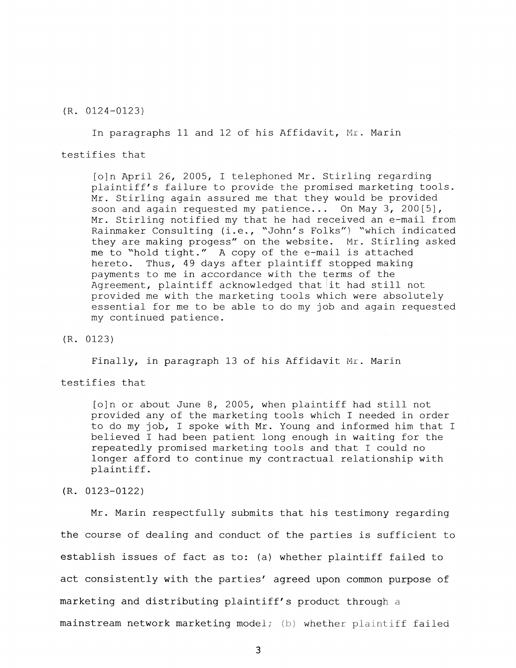(R. 0124-0123)

In paragraphs 11 and 12 of his Affidavit, Mr. Marin testifies that

[o]n April 26, 2005, I telephoned Mr. Stirling regarding plaintiff's failure to provide the promised marketing tools. Mr. Stirling again assured me that they would be provided soon and again requested my patience... On May 3, 200[5], Mr. Stirling notified my that he had received an e-mail from Rainmaker Consulting (i.e., "John's Folks") "which indicated they are making progess" on the website. Mr. Stirling asked me to "hold tight." A copy of the e-mail is attached hereto. Thus, 49 days after plaintiff stopped making payments to me in accordance with the terms of the Agreement, plaintiff acknowledged that it had still not provided me with the marketing tools which were absolutely essential for me to be able to do my job and again requested my continued patience.

(R. 0123)

Finally, in paragraph 13 of his Affidavit Mr. Marin

testifies that

[o]n or about June 8, 2005, when plaintiff had still not provided any of the marketing tools which I needed in order to do my job, I spoke with Mr. Young and informed him that I believed I had been patient long enough in waiting for the repeatedly promised marketing tools and that I could no longer afford to continue my contractual relationship with plaintiff.

(R. 0123-0122)

Mr. Marin respectfully submits that his testimony regarding the course of dealing and conduct of the parties is sufficient to establish issues of fact as to: (a) whether plaintiff failed to act consistently with the parties' agreed upon common purpose of marketing and distributing plaintiff's product through a mainstream network marketing model; (b) whether plaintiff failed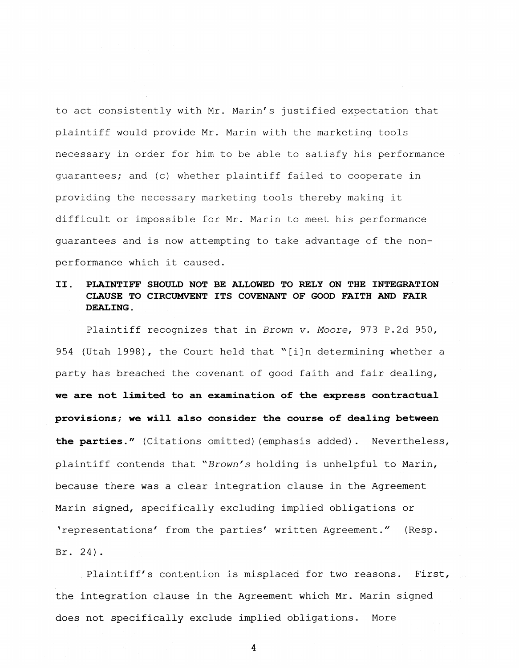to act consistently with Mr. Marin's justified expectation that plaintiff would provide Mr. Marin with the marketing tools necessary in order for him to *be* able to satisfy his performance guarantees; and (c) whether plaintiff failed to cooperate in providing the necessary marketing tools thereby making it difficult or impossible for Mr. Marin to meet his performance guarantees and is now attempting to take advantage of the nonperformance which it caused.

# **II. PLAINTIFF SHOULD NOT BE ALLOWED TO RELY ON THE INTEGRATION CLAUSE TO CIRCUMVENT ITS COVENANT OF GOOD FAITH AND FAIR DEALING.**

Plaintiff recognizes that in *Brown v. Moore,* 973 P.2d 950, 954 (Utah 1998), the Court held that "[i]n determining whether a party has breached the covenant of good faith and fair dealing, **we are not limited to an examination of the express contractual provisions; we will also consider the course of dealing between the parties."** (Citations omitted)(emphasis added). Nevertheless, plaintiff contends that *"Brown's* holding is unhelpful to Marin, because there was a clear integration clause in the Agreement Marin signed, specifically excluding implied obligations or ^representations' from the parties' written Agreement." (Resp. Br. 24).

Plaintiff's contention is misplaced for two reasons. First, the integration clause in the Agreement which Mr. Marin signed does not specifically exclude implied obligations. More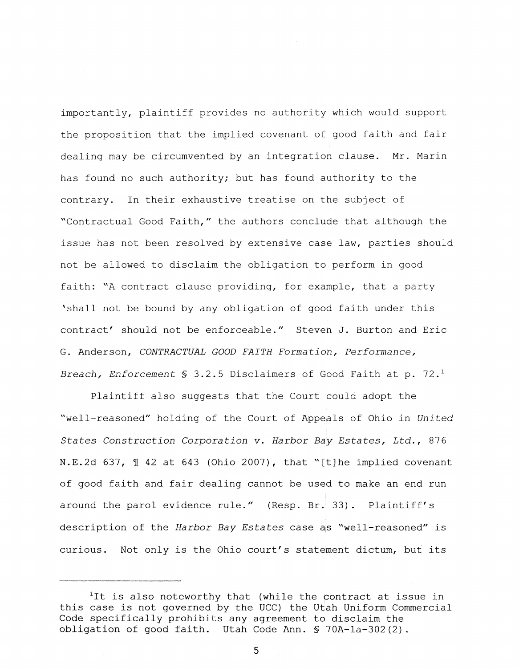importantly, plaintiff provides no authority which would support the proposition that the implied covenant of good faith and fair dealing may be circumvented by an integration clause. Mr. Marin has found no such authority; but has found authority to the contrary. In their exhaustive treatise on the subject of "Contractual Good Faith," the authors conclude that although the issue has not been resolved by extensive case law, parties should not be allowed to disclaim the obligation to perform in good faith: "A contract clause providing, for example, that a party 'shall not be bound by any obligation of good faith under this contract' should not be enforceable." Steven J. Burton and Eric G. Anderson, *CONTRACTUAL GOOD FAITH Formation, Performance, Breach, Enforcement* § 3.2.5 Disclaimers of Good Faith at p. 72.*<sup>1</sup>*

Plaintiff also suggests that the Court could adopt the "well-reasoned" holding of the Court of Appeals of Ohio in *United States Construction Corporation v. Harbor Bay Estates, Ltd.,* 876 N.E.2d 637, *1* 42 at 643 (Ohio 2007), that "[t]he implied covenant of good faith and fair dealing cannot be used to make an end run around the parol evidence rule." (Resp. Br. 33). Plaintiff's description of the *Harbor Bay Estates* case a^s "well-reasoned" is curious. Not only is the Ohio court's statement dictum, but its

<sup>&</sup>lt;sup>1</sup>It is also noteworthy that (while the contract at issue in this case is not governed by the UCC) the Utah Uniform Commercial Code specifically prohibits any agreement to disclaim the obligation of good faith. Utah Code Ann. § 70A-la-302(2).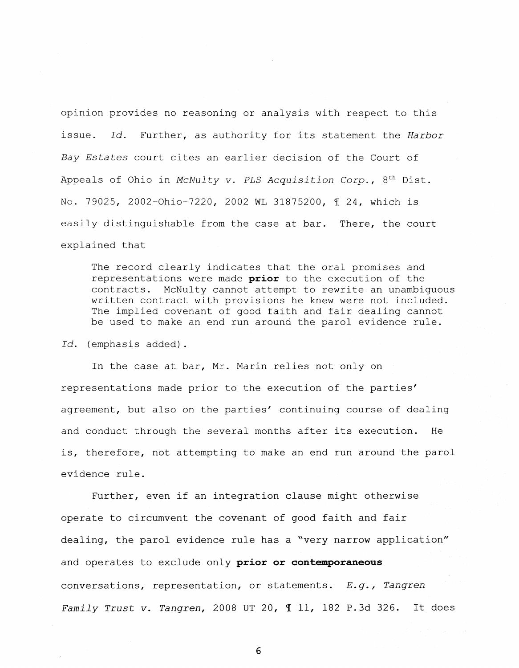opinion provides no reasoning or analysis with respect to this issue. Id. Further, as authority for its statement the *Harbor Bay Estates* court cites an earlier decision of the Court of Appeals of Ohio in *McNulty* v. *PLS Acquisition Corp.,* 8th Dist. No. 79025, 2002-Ohio-7220, 2002 WL 31875200, *1* 24, which is easily distinguishable from the case at bar. There, the court explained that

The record clearly indicates that the oral promises and representations were made **prior** to the execution of the contracts. McNulty cannot attempt to rewrite an unambiguous written contract with provisions he knew were not included. The implied covenant of good faith and fair dealing cannot be used to make an end run around the parol evidence rule.

*Id.* (emphasis added).

In the case at bar, Mr. Marin relies not only on representations made prior to the execution of the parties' agreement, but also on the parties' continuing course of dealing and conduct through the several months after its execution. He is, therefore, not attempting to make an end run around the parol evidence rule.

Further, even if an integration clause might otherwise operate to circumvent the covenant of good faith and fair dealing, the parol evidence rule has a "very narrow application" and operates to exclude only **prior or contemporaneous**  conversations, representation, or statements. *E.g., Tangren Family Trust v. Tangren,* 2008 UT 20, 11, 182 P.3d 326. It does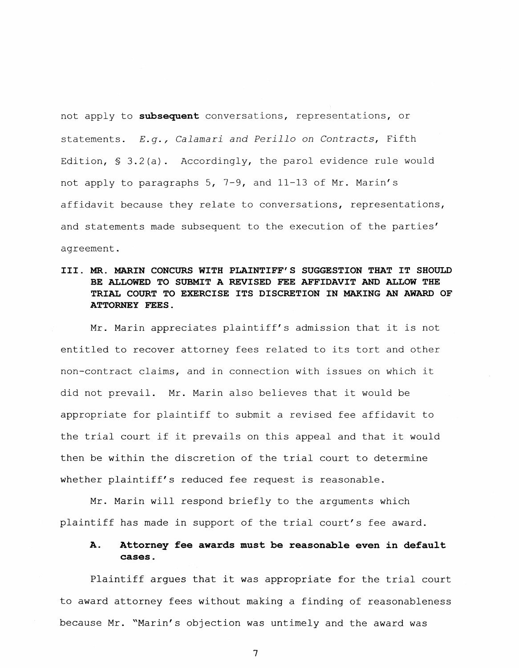not apply to **subsequent** conversations, representations, or statements. *E.g., Calamari and Perillo on Contracts,* Fifth Edition,  $\S$  3.2(a). Accordingly, the parol evidence rule would not apply to paragraphs 5, 7-9, and 11-13 of Mr. Marin's affidavit because they relate to conversations, representations, and statements made subsequent to the execution of the parties' agreement.

## **III. MR. MARIN CONCURS WITH PLAINTIFF'S SUGGESTION THAT IT SHOULD BE ALLOWED TO SUBMIT A REVISED FEE AFFIDAVIT AND ALLOW THE TRIAL COURT TO EXERCISE ITS DISCRETION IN MAKING AN AWARD OF ATTORNEY FEES.**

Mr. Marin appreciates plaintiff's admission that it is not entitled to recover attorney fees related to its tort and other non-contract claims, and in connection with issues on which it did not prevail. Mr. Marin also believes that it would be appropriate for plaintiff to submit a revised fee affidavit to the trial court if it prevails on this appeal and that it would then be within the discretion of the trial court to determine whether plaintiff's reduced fee request is reasonable.

Mr. Marin will respond briefly to the arguments which plaintiff has made in support of the trial court's fee award.

## **A. Attorney fee awards must be reasonable even in default cases**.

Plaintiff argues that it was appropriate for the trial court to award attorney fees without making a finding of reasonableness because Mr. "Marin's objection was untimely and the award was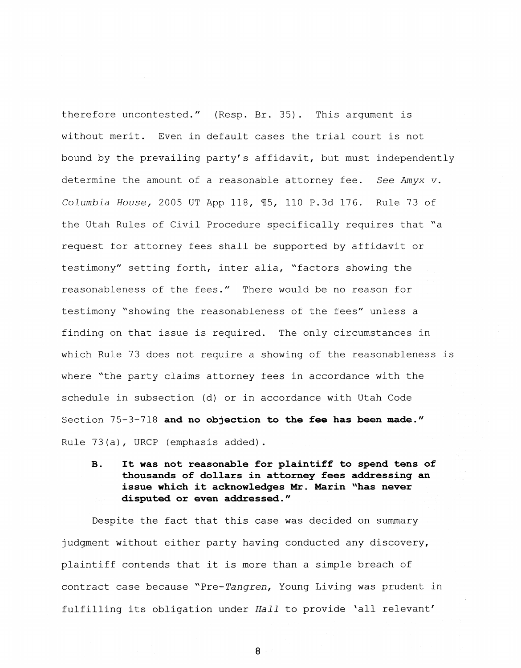therefore uncontested." (Resp. Br. 35). This argument is without merit. Even in default cases the trial court is not bound by the prevailing party's affidavit, but must independently determine the amount of a reasonable attorney fee. *See Amyx v. Columbia House,* 2005 UT App 118, **55,** 110 P.3d 176. Rule 73 of the Utah Rules of Civil Procedure specifically requires that "a request for attorney fees shall be supported by affidavit or testimony" setting forth, inter alia, "factors showing the reasonableness of the fees." There would be no reason for testimony "showing the reasonableness of the fees" unless a finding on that issue is required. The only circumstances in which Rule 73 does not require a showing of the reasonableness is where "the party claims attorney fees in accordance with the schedule in subsection (d) or in accordance with Utah Code Section 75-3-718 **and no objection to the fee has been made."**  Rule 73(a), URCP (emphasis added).

**B.** It was not reasonable for plaintiff to spend tens of **thousands of dollars in attorney fees addressing an issue which it acknowledges Mr. Marin "has never disputed or even addressed."** 

Despite the fact that this case was decided on summary judgment without either party having conducted any discovery, plaintiff contends that it is more than a simple breach of contract case because "Pre-*Tangren,* Young Living was prudent in fulfilling its obligation under *Hall* to provide \*all relevant'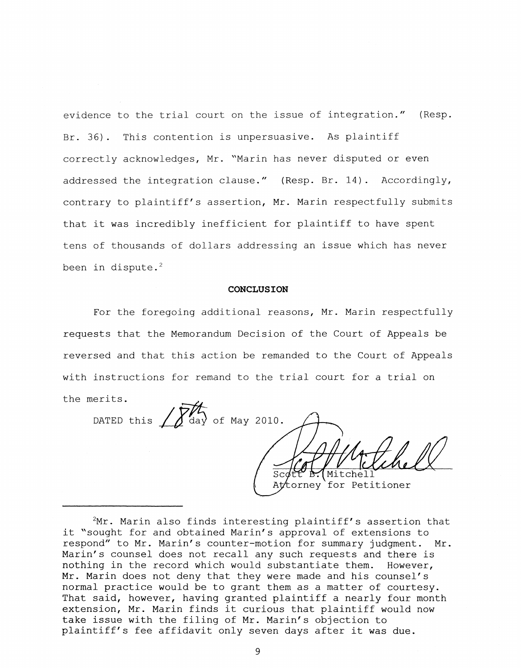evidence to the trial court on the issue of integration." (Resp. Br. 36). This contention is unpersuasive. As plaintiff correctly acknowledges, Mr. "Marin has never disputed or even addressed the integration clause." (Resp. Br. 14). Accordingly, contrary to plaintiff's assertion, Mr. Marin respectfully submits that it was incredibly inefficient for plaintiff to have spent tens of thousands of dollars addressing an issue which has never been in dispute. $2$ 

#### **CONCLUSION**

For the foregoing additional reasons, Mr. Marin respectfully requests that the Memorandum Decision of the Court of Appeals be reversed and that this action be remanded to the Court of Appeals with instructions for remand to the trial court for a trial on

the merits. DATED this  $\sqrt{\frac{M}{\text{day}}}$  of May 2010. Mitchell  $Sc$ At torney for Petitioner

 $2Mr$ . Marin also finds interesting plaintiff's assertion that it "sought for and obtained Marin's approval of extensions to respond" to Mr. Marin's counter-motion for summary judgment. Mr. Marin's counsel does not recall any such requests and there is nothing in the record which would substantiate them. However, Mr. Marin does not deny that they were made and his counsel's normal practice would be to grant them as a matter of courtesy. That said, however, having granted plaintiff a nearly four month extension, Mr. Marin finds it curious that plaintiff would now take issue with the filing of Mr. Marin's objection to plaintiff's fee affidavit only seven days after it was due.